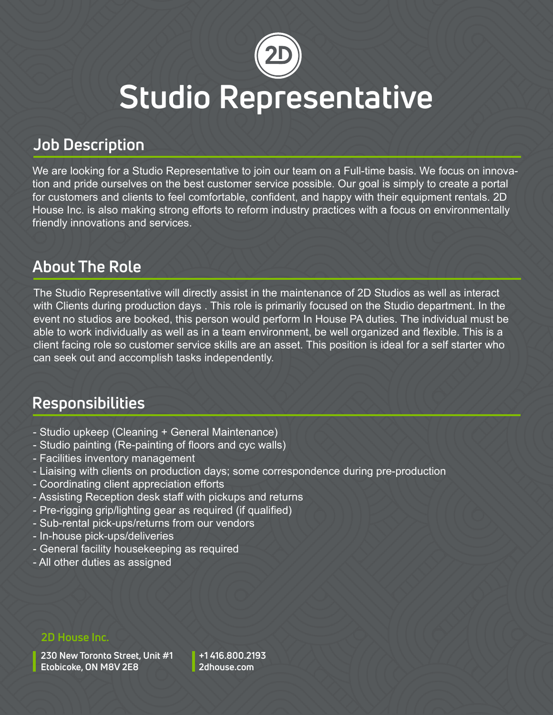

## **Studio Representative**

## **Job Description**

We are looking for a Studio Representative to join our team on a Full-time basis. We focus on innovation and pride ourselves on the best customer service possible. Our goal is simply to create a portal for customers and clients to feel comfortable, confident, and happy with their equipment rentals. 2D House Inc. is also making strong efforts to reform industry practices with a focus on environmentally friendly innovations and services.

## **About The Role**

The Studio Representative will directly assist in the maintenance of 2D Studios as well as interact with Clients during production days . This role is primarily focused on the Studio department. In the event no studios are booked, this person would perform In House PA duties. The individual must be able to work individually as well as in a team environment, be well organized and flexible. This is a client facing role so customer service skills are an asset. This position is ideal for a self starter who can seek out and accomplish tasks independently.

## **Responsibilities**

- Studio upkeep (Cleaning + General Maintenance)
- Studio painting (Re-painting of floors and cyc walls)
- Facilities inventory management
- Liaising with clients on production days; some correspondence during pre-production
- Coordinating client appreciation efforts
- Assisting Reception desk staff with pickups and returns
- Pre-rigging grip/lighting gear as required (if qualified)
- Sub-rental pick-ups/returns from our vendors
- In-house pick-ups/deliveries
- General facility housekeeping as required
- All other duties as assigned

#### **2D House Inc.**

**230 New Toronto Street, Unit #1 Etobicoke, ON M8V 2E8**

**+1 416.800.2193 2dhouse.com**